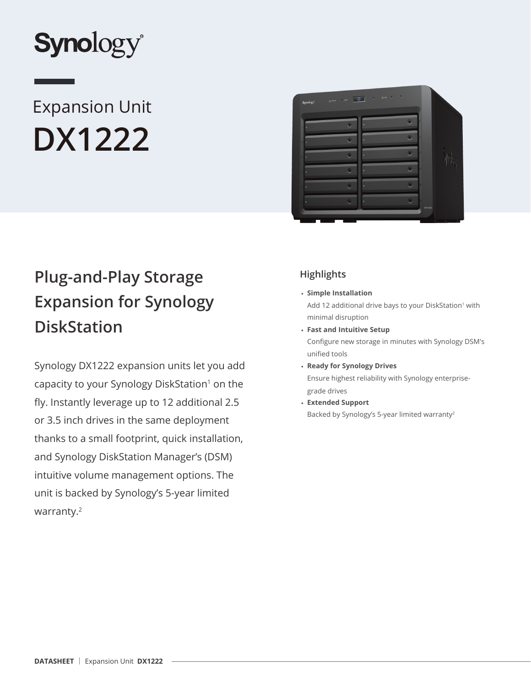

# Expansion Unit **DX1222**



## **Plug-and-Play Storage Expansion for Synology DiskStation**

Synology DX1222 expansion units let you add capacity to your Synology DiskStation<sup>1</sup> on the fly. Instantly leverage up to 12 additional 2.5 or 3.5 inch drives in the same deployment thanks to a small footprint, quick installation, and Synology DiskStation Manager's (DSM) intuitive volume management options. The unit is backed by Synology's 5-year limited warranty.<sup>2</sup>

## **Highlights**

• **Simple Installation**

Add 12 additional drive bays to your DiskStation<sup>1</sup> with minimal disruption

- **Fast and Intuitive Setup** Configure new storage in minutes with Synology DSM's unified tools
- **Ready for Synology Drives** Ensure highest reliability with Synology enterprisegrade drives
- **Extended Support** Backed by Synology's 5-year limited warranty<sup>2</sup>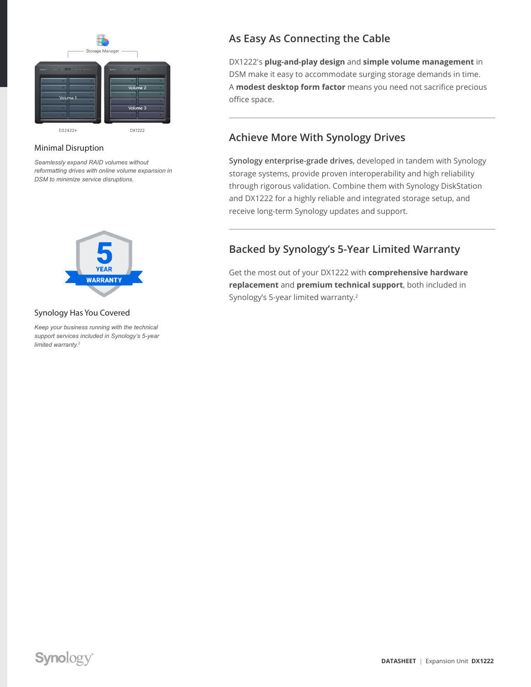

#### Minimal Disruption

*Seamlessly expand RAID volumes without reformatting drives with online volume expansion in DSM to minimize service disruptions.*



#### Synology Has You Covered

*Keep your business running with the technical support services included in Synology's 5-year limited warranty.2*

## **As Easy As Connecting the Cable**

DX1222's **plug-and-play design** and **simple volume management** in DSM make it easy to accommodate surging storage demands in time. A **modest desktop form factor** means you need not sacrifice precious office space.

### **Achieve More With Synology Drives**

**Synology enterprise-grade drives**, developed in tandem with Synology storage systems, provide proven interoperability and high reliability through rigorous validation. Combine them with Synology DiskStation and DX1222 for a highly reliable and integrated storage setup, and receive long-term Synology updates and support.

## **Backed by Synology's 5-Year Limited Warranty**

Get the most out of your DX1222 with **comprehensive hardware replacement** and **premium technical support**, both included in Synology's 5-year limited warranty.<sup>2</sup>